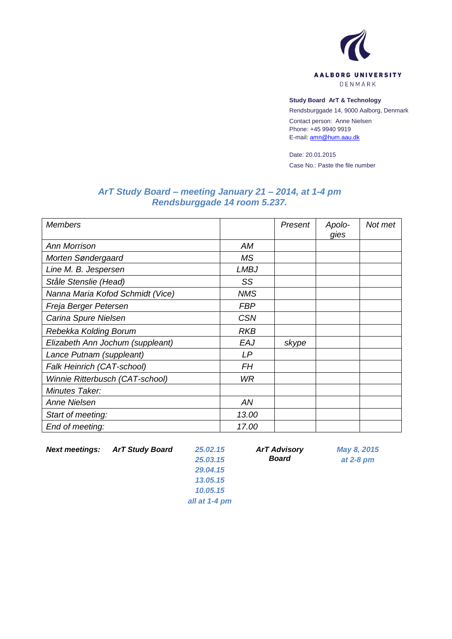

## **Study Board ArT & Technology**

Rendsburggade 14, 9000 Aalborg, Denmark

Contact person: Anne Nielsen Phone: +45 9940 9919 E-mail[: amn@hum.aau.dk](mailto:amn@hum.aau.dk)

Date: 20.01.2015 Case No.: Paste the file number

## *ArT Study Board – meeting January 21 – 2014, at 1-4 pm Rendsburggade 14 room 5.237.*

| <b>Members</b>                   |            | Present | Apolo-<br>gies | Not met |
|----------------------------------|------------|---------|----------------|---------|
| <b>Ann Morrison</b>              | AM         |         |                |         |
| Morten Søndergaard               | <b>MS</b>  |         |                |         |
| Line M. B. Jespersen             | LMBJ       |         |                |         |
| Ståle Stenslie (Head)            | SS         |         |                |         |
| Nanna Maria Kofod Schmidt (Vice) | <b>NMS</b> |         |                |         |
| Freja Berger Petersen            | <b>FBP</b> |         |                |         |
| Carina Spure Nielsen             | <b>CSN</b> |         |                |         |
| Rebekka Kolding Borum            | <b>RKB</b> |         |                |         |
| Elizabeth Ann Jochum (suppleant) | EAJ        | skype   |                |         |
| Lance Putnam (suppleant)         | LP         |         |                |         |
| Falk Heinrich (CAT-school)       | FΗ         |         |                |         |
| Winnie Ritterbusch (CAT-school)  | <b>WR</b>  |         |                |         |
| Minutes Taker:                   |            |         |                |         |
| Anne Nielsen                     | AN         |         |                |         |
| Start of meeting:                | 13.00      |         |                |         |
| End of meeting:                  | 17.00      |         |                |         |

*Next meetings: ArT Study Board 25.02.15*

*25.03.15 29.04.15 13.05.15 10.05.15 all at 1-4 pm* *ArT Advisory Board*

*May 8, 2015 at 2-8 pm*